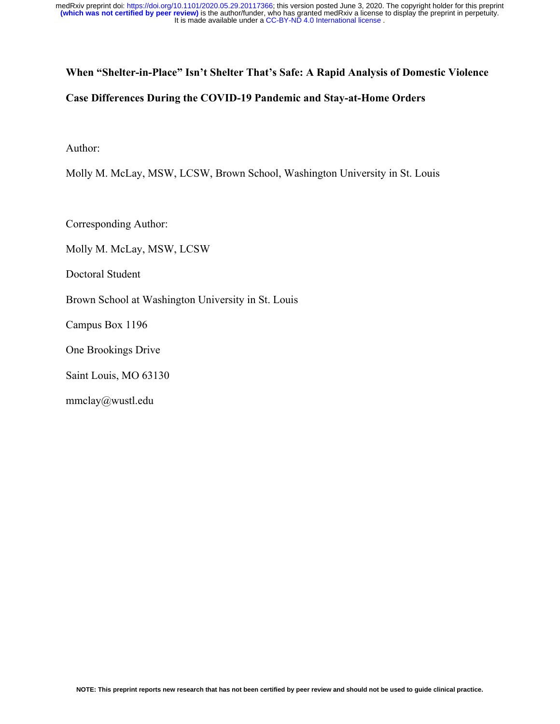# **When "Shelter-in-Place" Isn't Shelter That's Safe: A Rapid Analysis of Domestic Violence Case Differences During the COVID-19 Pandemic and Stay-at-Home Orders**

Author:

Molly M. McLay, MSW, LCSW, Brown School, Washington University in St. Louis

Corresponding Author:

Molly M. McLay, MSW, LCSW

Doctoral Student

Brown School at Washington University in St. Louis

Campus Box 1196

One Brookings Drive

Saint Louis, MO 63130

mmclay@wustl.edu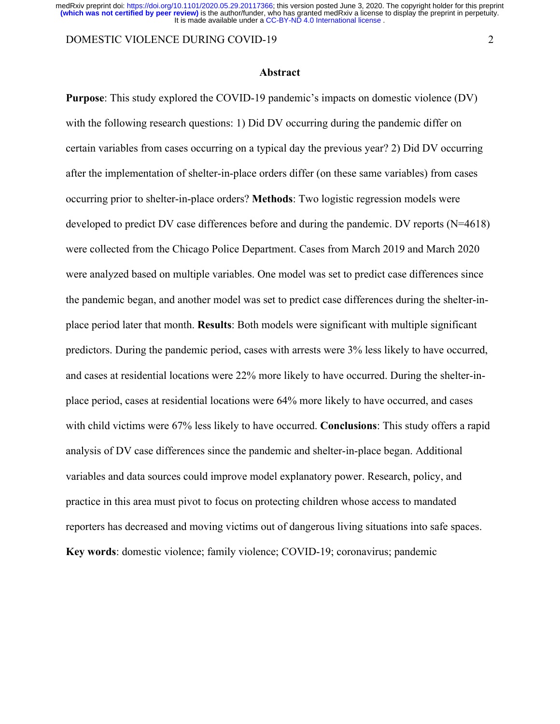DOMESTIC VIOLENCE DURING COVID-19 2

## **Abstract**

**Purpose**: This study explored the COVID-19 pandemic's impacts on domestic violence (DV) with the following research questions: 1) Did DV occurring during the pandemic differ on certain variables from cases occurring on a typical day the previous year? 2) Did DV occurring after the implementation of shelter-in-place orders differ (on these same variables) from cases occurring prior to shelter-in-place orders? **Methods**: Two logistic regression models were developed to predict DV case differences before and during the pandemic. DV reports (N=4618) were collected from the Chicago Police Department. Cases from March 2019 and March 2020 were analyzed based on multiple variables. One model was set to predict case differences since the pandemic began, and another model was set to predict case differences during the shelter-inplace period later that month. **Results**: Both models were significant with multiple significant predictors. During the pandemic period, cases with arrests were 3% less likely to have occurred, and cases at residential locations were 22% more likely to have occurred. During the shelter-inplace period, cases at residential locations were 64% more likely to have occurred, and cases with child victims were 67% less likely to have occurred. **Conclusions**: This study offers a rapid analysis of DV case differences since the pandemic and shelter-in-place began. Additional variables and data sources could improve model explanatory power. Research, policy, and practice in this area must pivot to focus on protecting children whose access to mandated reporters has decreased and moving victims out of dangerous living situations into safe spaces. **Key words**: domestic violence; family violence; COVID-19; coronavirus; pandemic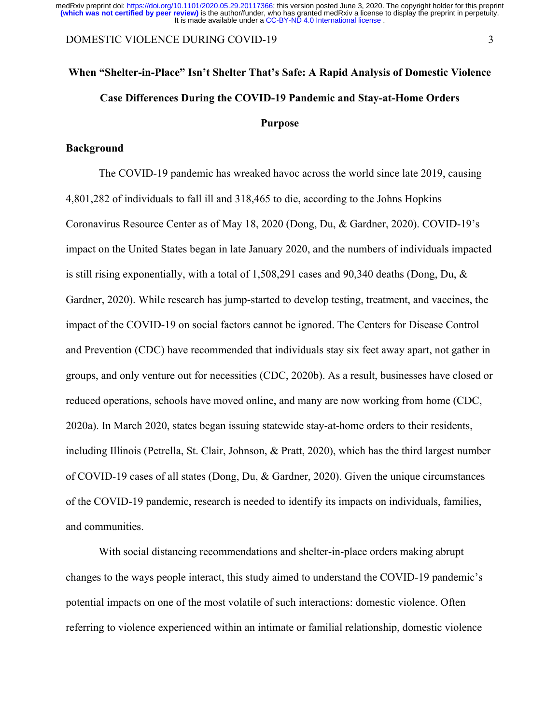#### DOMESTIC VIOLENCE DURING COVID-19 3

# **When "Shelter-in-Place" Isn't Shelter That's Safe: A Rapid Analysis of Domestic Violence Case Differences During the COVID-19 Pandemic and Stay-at-Home Orders Purpose**

## **Background**

The COVID-19 pandemic has wreaked havoc across the world since late 2019, causing 4,801,282 of individuals to fall ill and 318,465 to die, according to the Johns Hopkins Coronavirus Resource Center as of May 18, 2020 (Dong, Du, & Gardner, 2020). COVID-19's impact on the United States began in late January 2020, and the numbers of individuals impacted is still rising exponentially, with a total of 1,508,291 cases and 90,340 deaths (Dong, Du, & Gardner, 2020). While research has jump-started to develop testing, treatment, and vaccines, the impact of the COVID-19 on social factors cannot be ignored. The Centers for Disease Control and Prevention (CDC) have recommended that individuals stay six feet away apart, not gather in groups, and only venture out for necessities (CDC, 2020b). As a result, businesses have closed or reduced operations, schools have moved online, and many are now working from home (CDC, 2020a). In March 2020, states began issuing statewide stay-at-home orders to their residents, including Illinois (Petrella, St. Clair, Johnson, & Pratt, 2020), which has the third largest number of COVID-19 cases of all states (Dong, Du, & Gardner, 2020). Given the unique circumstances of the COVID-19 pandemic, research is needed to identify its impacts on individuals, families, and communities.

With social distancing recommendations and shelter-in-place orders making abrupt changes to the ways people interact, this study aimed to understand the COVID-19 pandemic's potential impacts on one of the most volatile of such interactions: domestic violence. Often referring to violence experienced within an intimate or familial relationship, domestic violence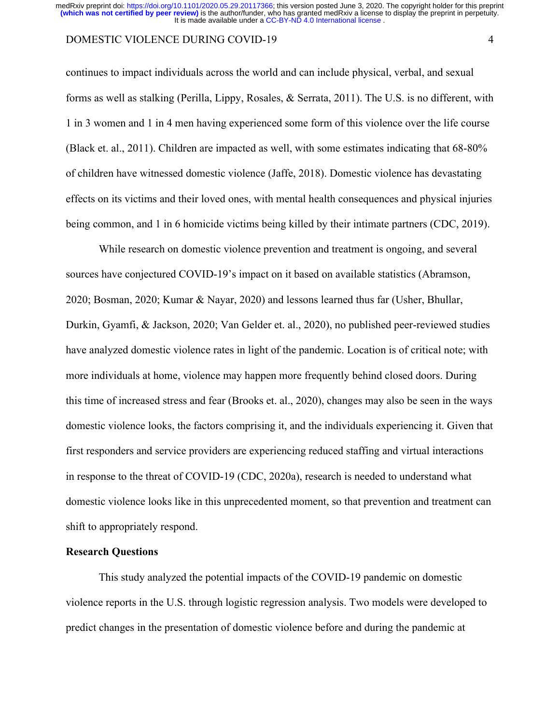## DOMESTIC VIOLENCE DURING COVID-19 4

continues to impact individuals across the world and can include physical, verbal, and sexual forms as well as stalking (Perilla, Lippy, Rosales, & Serrata, 2011). The U.S. is no different, with 1 in 3 women and 1 in 4 men having experienced some form of this violence over the life course (Black et. al., 2011). Children are impacted as well, with some estimates indicating that 68-80% of children have witnessed domestic violence (Jaffe, 2018). Domestic violence has devastating effects on its victims and their loved ones, with mental health consequences and physical injuries being common, and 1 in 6 homicide victims being killed by their intimate partners (CDC, 2019).

While research on domestic violence prevention and treatment is ongoing, and several sources have conjectured COVID-19's impact on it based on available statistics (Abramson, 2020; Bosman, 2020; Kumar & Nayar, 2020) and lessons learned thus far (Usher, Bhullar, Durkin, Gyamfi, & Jackson, 2020; Van Gelder et. al., 2020), no published peer-reviewed studies have analyzed domestic violence rates in light of the pandemic. Location is of critical note; with more individuals at home, violence may happen more frequently behind closed doors. During this time of increased stress and fear (Brooks et. al., 2020), changes may also be seen in the ways domestic violence looks, the factors comprising it, and the individuals experiencing it. Given that first responders and service providers are experiencing reduced staffing and virtual interactions in response to the threat of COVID-19 (CDC, 2020a), research is needed to understand what domestic violence looks like in this unprecedented moment, so that prevention and treatment can shift to appropriately respond.

## **Research Questions**

This study analyzed the potential impacts of the COVID-19 pandemic on domestic violence reports in the U.S. through logistic regression analysis. Two models were developed to predict changes in the presentation of domestic violence before and during the pandemic at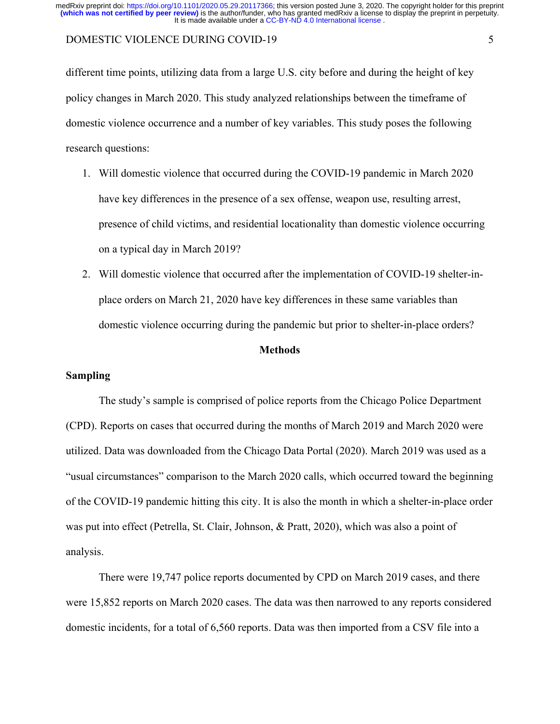## DOMESTIC VIOLENCE DURING COVID-19 5

different time points, utilizing data from a large U.S. city before and during the height of key policy changes in March 2020. This study analyzed relationships between the timeframe of domestic violence occurrence and a number of key variables. This study poses the following research questions:

- 1. Will domestic violence that occurred during the COVID-19 pandemic in March 2020 have key differences in the presence of a sex offense, weapon use, resulting arrest, presence of child victims, and residential locationality than domestic violence occurring on a typical day in March 2019?
- 2. Will domestic violence that occurred after the implementation of COVID-19 shelter-inplace orders on March 21, 2020 have key differences in these same variables than domestic violence occurring during the pandemic but prior to shelter-in-place orders?

## **Methods**

#### **Sampling**

The study's sample is comprised of police reports from the Chicago Police Department (CPD). Reports on cases that occurred during the months of March 2019 and March 2020 were utilized. Data was downloaded from the Chicago Data Portal (2020). March 2019 was used as a "usual circumstances" comparison to the March 2020 calls, which occurred toward the beginning of the COVID-19 pandemic hitting this city. It is also the month in which a shelter-in-place order was put into effect (Petrella, St. Clair, Johnson, & Pratt, 2020), which was also a point of analysis.

There were 19,747 police reports documented by CPD on March 2019 cases, and there were 15,852 reports on March 2020 cases. The data was then narrowed to any reports considered domestic incidents, for a total of 6,560 reports. Data was then imported from a CSV file into a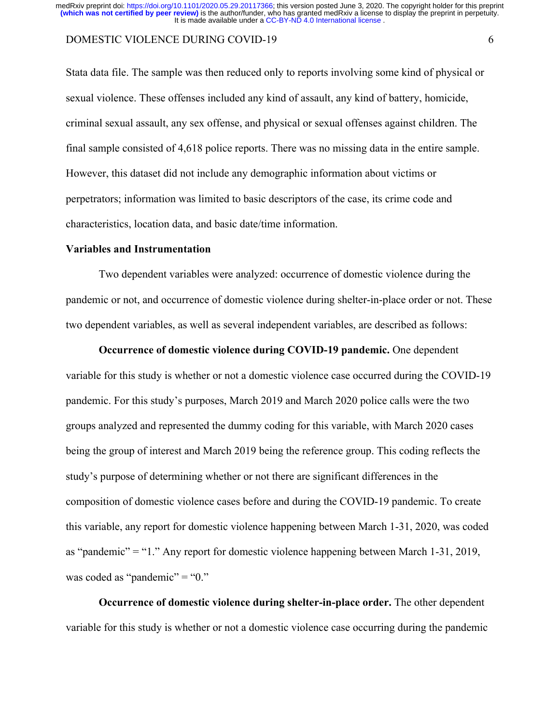## DOMESTIC VIOLENCE DURING COVID-19 6

Stata data file. The sample was then reduced only to reports involving some kind of physical or sexual violence. These offenses included any kind of assault, any kind of battery, homicide, criminal sexual assault, any sex offense, and physical or sexual offenses against children. The final sample consisted of 4,618 police reports. There was no missing data in the entire sample. However, this dataset did not include any demographic information about victims or perpetrators; information was limited to basic descriptors of the case, its crime code and characteristics, location data, and basic date/time information.

#### **Variables and Instrumentation**

Two dependent variables were analyzed: occurrence of domestic violence during the pandemic or not, and occurrence of domestic violence during shelter-in-place order or not. These two dependent variables, as well as several independent variables, are described as follows:

**Occurrence of domestic violence during COVID-19 pandemic.** One dependent variable for this study is whether or not a domestic violence case occurred during the COVID-19 pandemic. For this study's purposes, March 2019 and March 2020 police calls were the two groups analyzed and represented the dummy coding for this variable, with March 2020 cases being the group of interest and March 2019 being the reference group. This coding reflects the study's purpose of determining whether or not there are significant differences in the composition of domestic violence cases before and during the COVID-19 pandemic. To create this variable, any report for domestic violence happening between March 1-31, 2020, was coded as "pandemic" = "1." Any report for domestic violence happening between March 1-31, 2019, was coded as "pandemic" = " $0$ ."

**Occurrence of domestic violence during shelter-in-place order.** The other dependent variable for this study is whether or not a domestic violence case occurring during the pandemic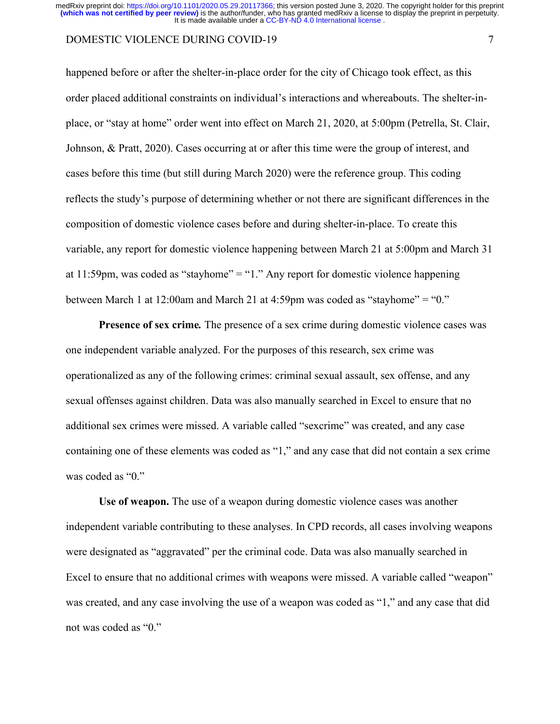## DOMESTIC VIOLENCE DURING COVID-19 7

happened before or after the shelter-in-place order for the city of Chicago took effect, as this order placed additional constraints on individual's interactions and whereabouts. The shelter-inplace, or "stay at home" order went into effect on March 21, 2020, at 5:00pm (Petrella, St. Clair, Johnson, & Pratt, 2020). Cases occurring at or after this time were the group of interest, and cases before this time (but still during March 2020) were the reference group. This coding reflects the study's purpose of determining whether or not there are significant differences in the composition of domestic violence cases before and during shelter-in-place. To create this variable, any report for domestic violence happening between March 21 at 5:00pm and March 31 at  $11:59$ pm, was coded as "stayhome" = "1." Any report for domestic violence happening between March 1 at 12:00am and March 21 at 4:59pm was coded as "stayhome" = "0."

**Presence of sex crime***.* The presence of a sex crime during domestic violence cases was one independent variable analyzed. For the purposes of this research, sex crime was operationalized as any of the following crimes: criminal sexual assault, sex offense, and any sexual offenses against children. Data was also manually searched in Excel to ensure that no additional sex crimes were missed. A variable called "sexcrime" was created, and any case containing one of these elements was coded as "1," and any case that did not contain a sex crime was coded as "0."

**Use of weapon.** The use of a weapon during domestic violence cases was another independent variable contributing to these analyses. In CPD records, all cases involving weapons were designated as "aggravated" per the criminal code. Data was also manually searched in Excel to ensure that no additional crimes with weapons were missed. A variable called "weapon" was created, and any case involving the use of a weapon was coded as "1," and any case that did not was coded as "0."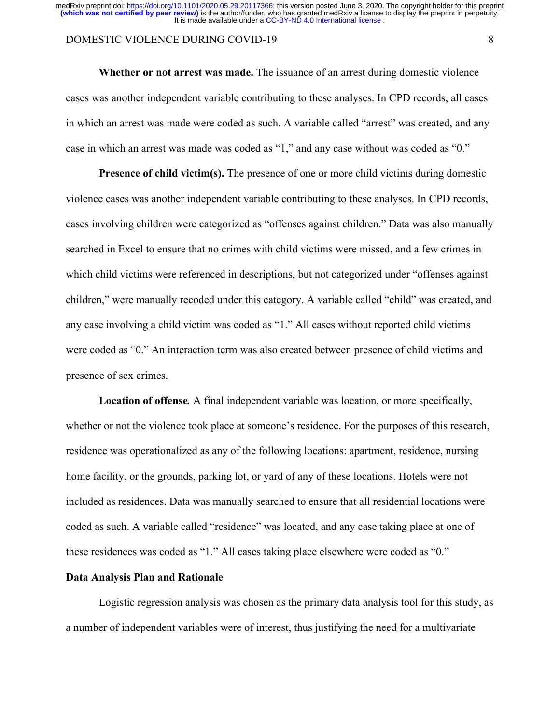## DOMESTIC VIOLENCE DURING COVID-19 8

**Whether or not arrest was made.** The issuance of an arrest during domestic violence cases was another independent variable contributing to these analyses. In CPD records, all cases in which an arrest was made were coded as such. A variable called "arrest" was created, and any case in which an arrest was made was coded as "1," and any case without was coded as "0."

**Presence of child victim(s).** The presence of one or more child victims during domestic violence cases was another independent variable contributing to these analyses. In CPD records, cases involving children were categorized as "offenses against children." Data was also manually searched in Excel to ensure that no crimes with child victims were missed, and a few crimes in which child victims were referenced in descriptions, but not categorized under "offenses against children," were manually recoded under this category. A variable called "child" was created, and any case involving a child victim was coded as "1." All cases without reported child victims were coded as "0." An interaction term was also created between presence of child victims and presence of sex crimes.

**Location of offense***.* A final independent variable was location, or more specifically, whether or not the violence took place at someone's residence. For the purposes of this research, residence was operationalized as any of the following locations: apartment, residence, nursing home facility, or the grounds, parking lot, or yard of any of these locations. Hotels were not included as residences. Data was manually searched to ensure that all residential locations were coded as such. A variable called "residence" was located, and any case taking place at one of these residences was coded as "1." All cases taking place elsewhere were coded as "0."

## **Data Analysis Plan and Rationale**

Logistic regression analysis was chosen as the primary data analysis tool for this study, as a number of independent variables were of interest, thus justifying the need for a multivariate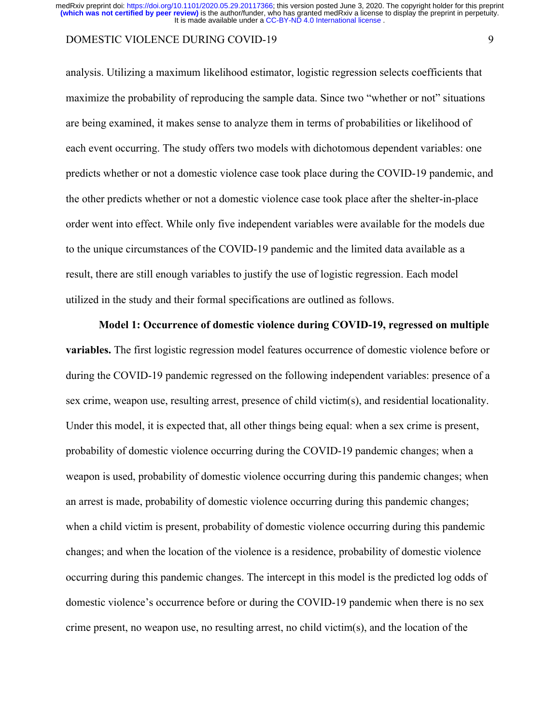## DOMESTIC VIOLENCE DURING COVID-19 9

analysis. Utilizing a maximum likelihood estimator, logistic regression selects coefficients that maximize the probability of reproducing the sample data. Since two "whether or not" situations are being examined, it makes sense to analyze them in terms of probabilities or likelihood of each event occurring. The study offers two models with dichotomous dependent variables: one predicts whether or not a domestic violence case took place during the COVID-19 pandemic, and the other predicts whether or not a domestic violence case took place after the shelter-in-place order went into effect. While only five independent variables were available for the models due to the unique circumstances of the COVID-19 pandemic and the limited data available as a result, there are still enough variables to justify the use of logistic regression. Each model utilized in the study and their formal specifications are outlined as follows.

**Model 1: Occurrence of domestic violence during COVID-19, regressed on multiple variables.** The first logistic regression model features occurrence of domestic violence before or during the COVID-19 pandemic regressed on the following independent variables: presence of a sex crime, weapon use, resulting arrest, presence of child victim(s), and residential locationality. Under this model, it is expected that, all other things being equal: when a sex crime is present, probability of domestic violence occurring during the COVID-19 pandemic changes; when a weapon is used, probability of domestic violence occurring during this pandemic changes; when an arrest is made, probability of domestic violence occurring during this pandemic changes; when a child victim is present, probability of domestic violence occurring during this pandemic changes; and when the location of the violence is a residence, probability of domestic violence occurring during this pandemic changes. The intercept in this model is the predicted log odds of domestic violence's occurrence before or during the COVID-19 pandemic when there is no sex crime present, no weapon use, no resulting arrest, no child victim(s), and the location of the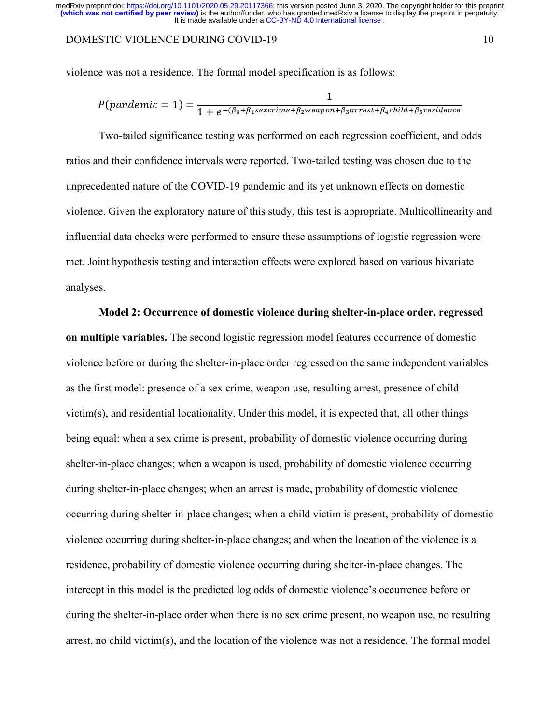### DOMESTIC VIOLENCE DURING COVID-19 10

violence was not a residence. The formal model specification is as follows:

$$
P(pandemic = 1) = \frac{1}{1 + e^{-(\beta_0 + \beta_1 sex crime + \beta_2 weapon + \beta_3 arrest + \beta_4 child + \beta_5 residuence)}}
$$

Two-tailed significance testing was performed on each regression coefficient, and odds ratios and their confidence intervals were reported. Two-tailed testing was chosen due to the unprecedented nature of the COVID-19 pandemic and its yet unknown effects on domestic violence. Given the exploratory nature of this study, this test is appropriate. Multicollinearity and influential data checks were performed to ensure these assumptions of logistic regression were met. Joint hypothesis testing and interaction effects were explored based on various bivariate analyses.

**Model 2: Occurrence of domestic violence during shelter-in-place order, regressed on multiple variables.** The second logistic regression model features occurrence of domestic violence before or during the shelter-in-place order regressed on the same independent variables as the first model: presence of a sex crime, weapon use, resulting arrest, presence of child victim(s), and residential locationality. Under this model, it is expected that, all other things being equal: when a sex crime is present, probability of domestic violence occurring during shelter-in-place changes; when a weapon is used, probability of domestic violence occurring during shelter-in-place changes; when an arrest is made, probability of domestic violence occurring during shelter-in-place changes; when a child victim is present, probability of domestic violence occurring during shelter-in-place changes; and when the location of the violence is a residence, probability of domestic violence occurring during shelter-in-place changes. The intercept in this model is the predicted log odds of domestic violence's occurrence before or during the shelter-in-place order when there is no sex crime present, no weapon use, no resulting arrest, no child victim(s), and the location of the violence was not a residence. The formal model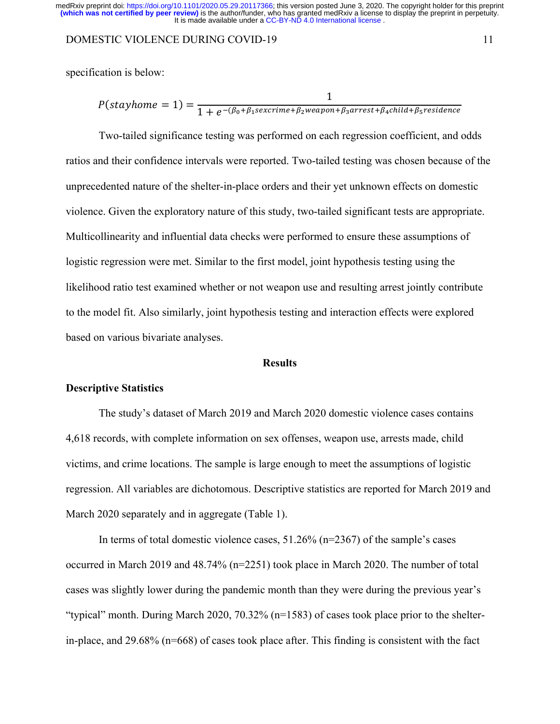#### DOMESTIC VIOLENCE DURING COVID-19 11

specification is below:

$$
P(stayhome = 1) = \frac{1}{1 + e^{-(\beta_0 + \beta_1 sex crime + \beta_2 weapon + \beta_3 arrest + \beta_4 child + \beta_5 residue}}.
$$

Two-tailed significance testing was performed on each regression coefficient, and odds ratios and their confidence intervals were reported. Two-tailed testing was chosen because of the unprecedented nature of the shelter-in-place orders and their yet unknown effects on domestic violence. Given the exploratory nature of this study, two-tailed significant tests are appropriate. Multicollinearity and influential data checks were performed to ensure these assumptions of logistic regression were met. Similar to the first model, joint hypothesis testing using the likelihood ratio test examined whether or not weapon use and resulting arrest jointly contribute to the model fit. Also similarly, joint hypothesis testing and interaction effects were explored based on various bivariate analyses.

## **Results**

### **Descriptive Statistics**

The study's dataset of March 2019 and March 2020 domestic violence cases contains 4,618 records, with complete information on sex offenses, weapon use, arrests made, child victims, and crime locations. The sample is large enough to meet the assumptions of logistic regression. All variables are dichotomous. Descriptive statistics are reported for March 2019 and March 2020 separately and in aggregate (Table 1).

In terms of total domestic violence cases,  $51.26\%$  (n=2367) of the sample's cases occurred in March 2019 and 48.74% (n=2251) took place in March 2020. The number of total cases was slightly lower during the pandemic month than they were during the previous year's "typical" month. During March 2020, 70.32% (n=1583) of cases took place prior to the shelterin-place, and 29.68% (n=668) of cases took place after. This finding is consistent with the fact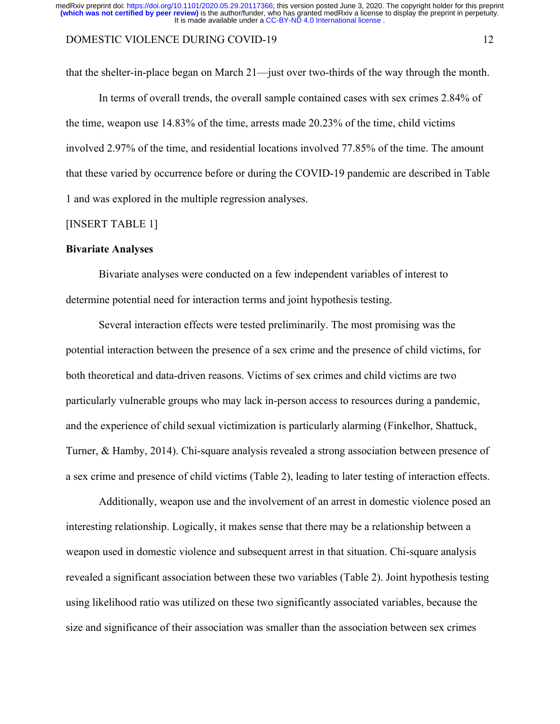## DOMESTIC VIOLENCE DURING COVID-19 12

that the shelter-in-place began on March 21—just over two-thirds of the way through the month.

In terms of overall trends, the overall sample contained cases with sex crimes 2.84% of the time, weapon use 14.83% of the time, arrests made 20.23% of the time, child victims involved 2.97% of the time, and residential locations involved 77.85% of the time. The amount that these varied by occurrence before or during the COVID-19 pandemic are described in Table 1 and was explored in the multiple regression analyses.

### [INSERT TABLE 1]

#### **Bivariate Analyses**

Bivariate analyses were conducted on a few independent variables of interest to determine potential need for interaction terms and joint hypothesis testing.

Several interaction effects were tested preliminarily. The most promising was the potential interaction between the presence of a sex crime and the presence of child victims, for both theoretical and data-driven reasons. Victims of sex crimes and child victims are two particularly vulnerable groups who may lack in-person access to resources during a pandemic, and the experience of child sexual victimization is particularly alarming (Finkelhor, Shattuck, Turner, & Hamby, 2014). Chi-square analysis revealed a strong association between presence of a sex crime and presence of child victims (Table 2), leading to later testing of interaction effects.

Additionally, weapon use and the involvement of an arrest in domestic violence posed an interesting relationship. Logically, it makes sense that there may be a relationship between a weapon used in domestic violence and subsequent arrest in that situation. Chi-square analysis revealed a significant association between these two variables (Table 2). Joint hypothesis testing using likelihood ratio was utilized on these two significantly associated variables, because the size and significance of their association was smaller than the association between sex crimes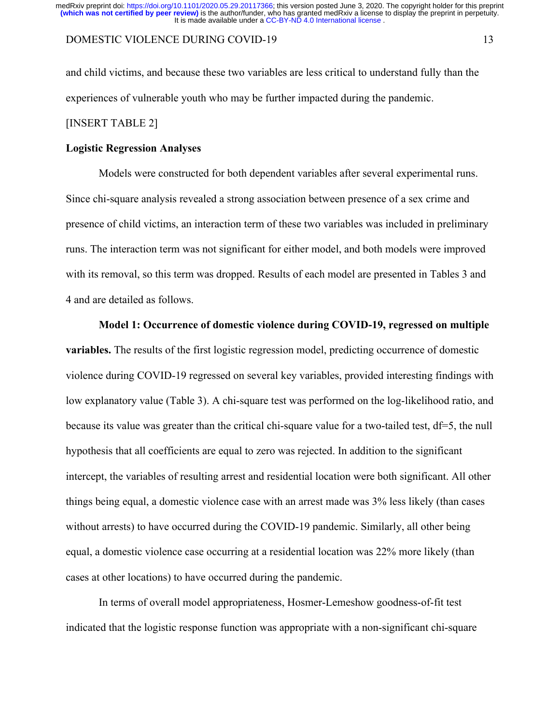## DOMESTIC VIOLENCE DURING COVID-19 13

and child victims, and because these two variables are less critical to understand fully than the experiences of vulnerable youth who may be further impacted during the pandemic. [INSERT TABLE 2]

## **Logistic Regression Analyses**

Models were constructed for both dependent variables after several experimental runs. Since chi-square analysis revealed a strong association between presence of a sex crime and presence of child victims, an interaction term of these two variables was included in preliminary runs. The interaction term was not significant for either model, and both models were improved with its removal, so this term was dropped. Results of each model are presented in Tables 3 and 4 and are detailed as follows.

## **Model 1: Occurrence of domestic violence during COVID-19, regressed on multiple**

**variables.** The results of the first logistic regression model, predicting occurrence of domestic violence during COVID-19 regressed on several key variables, provided interesting findings with low explanatory value (Table 3). A chi-square test was performed on the log-likelihood ratio, and because its value was greater than the critical chi-square value for a two-tailed test, df=5, the null hypothesis that all coefficients are equal to zero was rejected. In addition to the significant intercept, the variables of resulting arrest and residential location were both significant. All other things being equal, a domestic violence case with an arrest made was 3% less likely (than cases without arrests) to have occurred during the COVID-19 pandemic. Similarly, all other being equal, a domestic violence case occurring at a residential location was 22% more likely (than cases at other locations) to have occurred during the pandemic.

In terms of overall model appropriateness, Hosmer-Lemeshow goodness-of-fit test indicated that the logistic response function was appropriate with a non-significant chi-square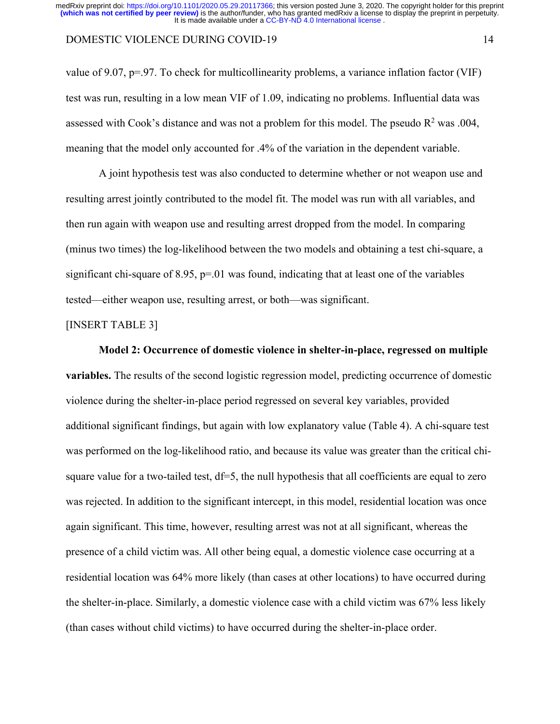## DOMESTIC VIOLENCE DURING COVID-19 14

value of 9.07,  $p=.97$ . To check for multicollinearity problems, a variance inflation factor (VIF) test was run, resulting in a low mean VIF of 1.09, indicating no problems. Influential data was assessed with Cook's distance and was not a problem for this model. The pseudo  $R^2$  was .004, meaning that the model only accounted for .4% of the variation in the dependent variable.

A joint hypothesis test was also conducted to determine whether or not weapon use and resulting arrest jointly contributed to the model fit. The model was run with all variables, and then run again with weapon use and resulting arrest dropped from the model. In comparing (minus two times) the log-likelihood between the two models and obtaining a test chi-square, a significant chi-square of 8.95,  $p=01$  was found, indicating that at least one of the variables tested—either weapon use, resulting arrest, or both—was significant.

## [INSERT TABLE 3]

**Model 2: Occurrence of domestic violence in shelter-in-place, regressed on multiple variables.** The results of the second logistic regression model, predicting occurrence of domestic violence during the shelter-in-place period regressed on several key variables, provided additional significant findings, but again with low explanatory value (Table 4). A chi-square test was performed on the log-likelihood ratio, and because its value was greater than the critical chisquare value for a two-tailed test, df=5, the null hypothesis that all coefficients are equal to zero was rejected. In addition to the significant intercept, in this model, residential location was once again significant. This time, however, resulting arrest was not at all significant, whereas the presence of a child victim was. All other being equal, a domestic violence case occurring at a residential location was 64% more likely (than cases at other locations) to have occurred during the shelter-in-place. Similarly, a domestic violence case with a child victim was 67% less likely (than cases without child victims) to have occurred during the shelter-in-place order.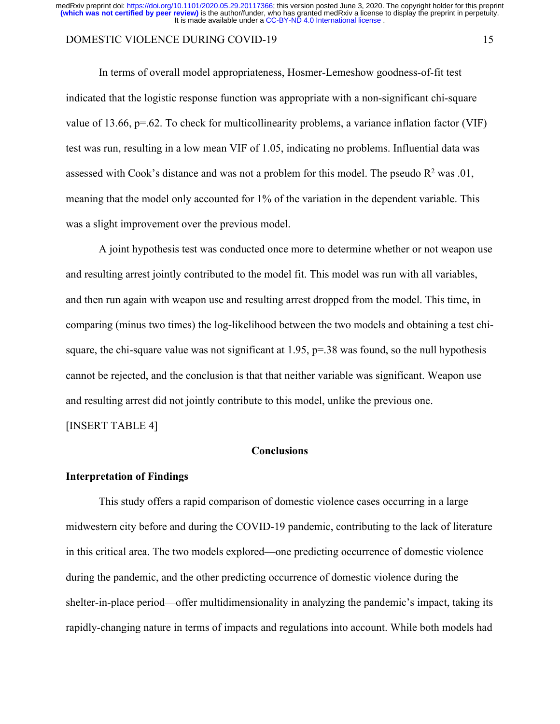## DOMESTIC VIOLENCE DURING COVID-19 15

In terms of overall model appropriateness, Hosmer-Lemeshow goodness-of-fit test indicated that the logistic response function was appropriate with a non-significant chi-square value of 13.66, p=.62. To check for multicollinearity problems, a variance inflation factor (VIF) test was run, resulting in a low mean VIF of 1.05, indicating no problems. Influential data was assessed with Cook's distance and was not a problem for this model. The pseudo  $R^2$  was .01, meaning that the model only accounted for 1% of the variation in the dependent variable. This was a slight improvement over the previous model.

A joint hypothesis test was conducted once more to determine whether or not weapon use and resulting arrest jointly contributed to the model fit. This model was run with all variables, and then run again with weapon use and resulting arrest dropped from the model. This time, in comparing (minus two times) the log-likelihood between the two models and obtaining a test chisquare, the chi-square value was not significant at  $1.95$ ,  $p=.38$  was found, so the null hypothesis cannot be rejected, and the conclusion is that that neither variable was significant. Weapon use and resulting arrest did not jointly contribute to this model, unlike the previous one.

[INSERT TABLE 4]

## **Conclusions**

#### **Interpretation of Findings**

This study offers a rapid comparison of domestic violence cases occurring in a large midwestern city before and during the COVID-19 pandemic, contributing to the lack of literature in this critical area. The two models explored—one predicting occurrence of domestic violence during the pandemic, and the other predicting occurrence of domestic violence during the shelter-in-place period—offer multidimensionality in analyzing the pandemic's impact, taking its rapidly-changing nature in terms of impacts and regulations into account. While both models had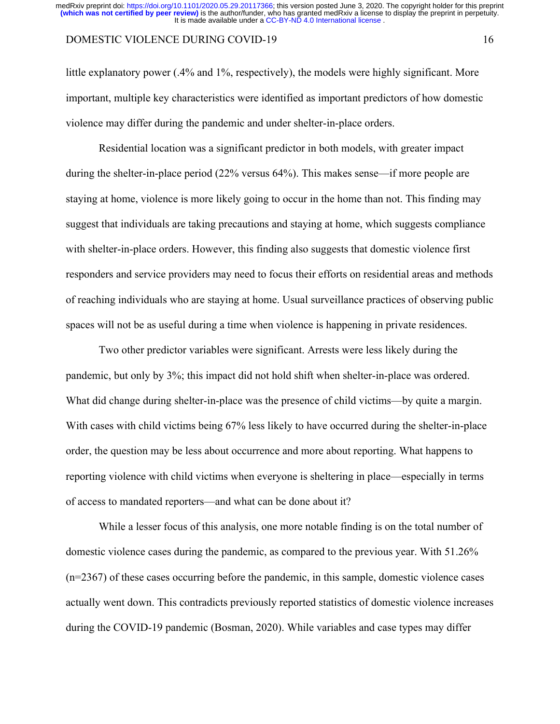## DOMESTIC VIOLENCE DURING COVID-19 16

little explanatory power (.4% and 1%, respectively), the models were highly significant. More important, multiple key characteristics were identified as important predictors of how domestic violence may differ during the pandemic and under shelter-in-place orders.

Residential location was a significant predictor in both models, with greater impact during the shelter-in-place period (22% versus 64%). This makes sense—if more people are staying at home, violence is more likely going to occur in the home than not. This finding may suggest that individuals are taking precautions and staying at home, which suggests compliance with shelter-in-place orders. However, this finding also suggests that domestic violence first responders and service providers may need to focus their efforts on residential areas and methods of reaching individuals who are staying at home. Usual surveillance practices of observing public spaces will not be as useful during a time when violence is happening in private residences.

Two other predictor variables were significant. Arrests were less likely during the pandemic, but only by 3%; this impact did not hold shift when shelter-in-place was ordered. What did change during shelter-in-place was the presence of child victims—by quite a margin. With cases with child victims being 67% less likely to have occurred during the shelter-in-place order, the question may be less about occurrence and more about reporting. What happens to reporting violence with child victims when everyone is sheltering in place—especially in terms of access to mandated reporters—and what can be done about it?

While a lesser focus of this analysis, one more notable finding is on the total number of domestic violence cases during the pandemic, as compared to the previous year. With 51.26% (n=2367) of these cases occurring before the pandemic, in this sample, domestic violence cases actually went down. This contradicts previously reported statistics of domestic violence increases during the COVID-19 pandemic (Bosman, 2020). While variables and case types may differ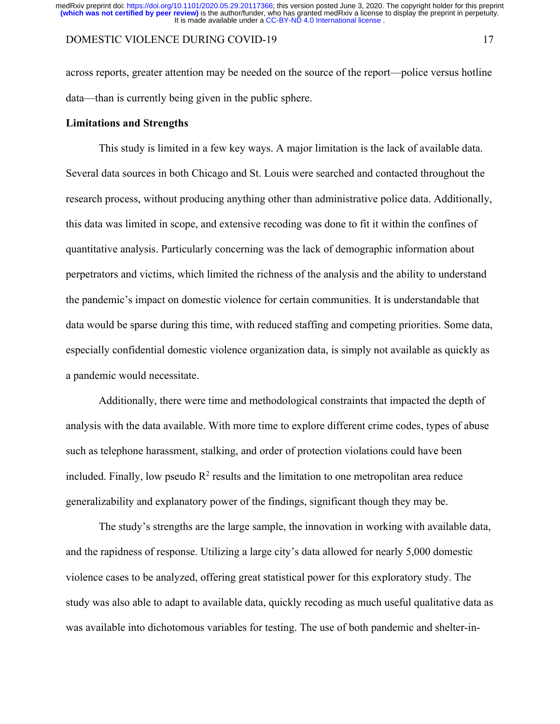### DOMESTIC VIOLENCE DURING COVID-19 17

across reports, greater attention may be needed on the source of the report—police versus hotline data—than is currently being given in the public sphere.

## **Limitations and Strengths**

This study is limited in a few key ways. A major limitation is the lack of available data. Several data sources in both Chicago and St. Louis were searched and contacted throughout the research process, without producing anything other than administrative police data. Additionally, this data was limited in scope, and extensive recoding was done to fit it within the confines of quantitative analysis. Particularly concerning was the lack of demographic information about perpetrators and victims, which limited the richness of the analysis and the ability to understand the pandemic's impact on domestic violence for certain communities. It is understandable that data would be sparse during this time, with reduced staffing and competing priorities. Some data, especially confidential domestic violence organization data, is simply not available as quickly as a pandemic would necessitate.

Additionally, there were time and methodological constraints that impacted the depth of analysis with the data available. With more time to explore different crime codes, types of abuse such as telephone harassment, stalking, and order of protection violations could have been included. Finally, low pseudo  $R^2$  results and the limitation to one metropolitan area reduce generalizability and explanatory power of the findings, significant though they may be.

The study's strengths are the large sample, the innovation in working with available data, and the rapidness of response. Utilizing a large city's data allowed for nearly 5,000 domestic violence cases to be analyzed, offering great statistical power for this exploratory study. The study was also able to adapt to available data, quickly recoding as much useful qualitative data as was available into dichotomous variables for testing. The use of both pandemic and shelter-in-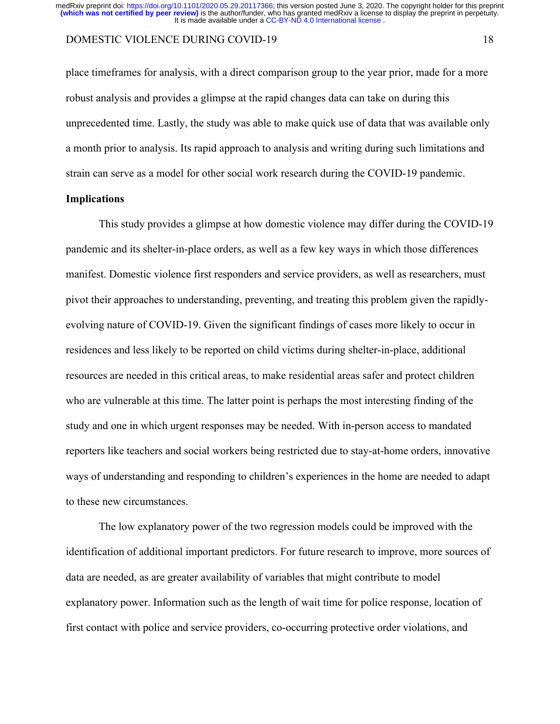## DOMESTIC VIOLENCE DURING COVID-19 18

place timeframes for analysis, with a direct comparison group to the year prior, made for a more robust analysis and provides a glimpse at the rapid changes data can take on during this unprecedented time. Lastly, the study was able to make quick use of data that was available only a month prior to analysis. Its rapid approach to analysis and writing during such limitations and strain can serve as a model for other social work research during the COVID-19 pandemic.

## **Implications**

This study provides a glimpse at how domestic violence may differ during the COVID-19 pandemic and its shelter-in-place orders, as well as a few key ways in which those differences manifest. Domestic violence first responders and service providers, as well as researchers, must pivot their approaches to understanding, preventing, and treating this problem given the rapidlyevolving nature of COVID-19. Given the significant findings of cases more likely to occur in residences and less likely to be reported on child victims during shelter-in-place, additional resources are needed in this critical areas, to make residential areas safer and protect children who are vulnerable at this time. The latter point is perhaps the most interesting finding of the study and one in which urgent responses may be needed. With in-person access to mandated reporters like teachers and social workers being restricted due to stay-at-home orders, innovative ways of understanding and responding to children's experiences in the home are needed to adapt to these new circumstances.

The low explanatory power of the two regression models could be improved with the identification of additional important predictors. For future research to improve, more sources of data are needed, as are greater availability of variables that might contribute to model explanatory power. Information such as the length of wait time for police response, location of first contact with police and service providers, co-occurring protective order violations, and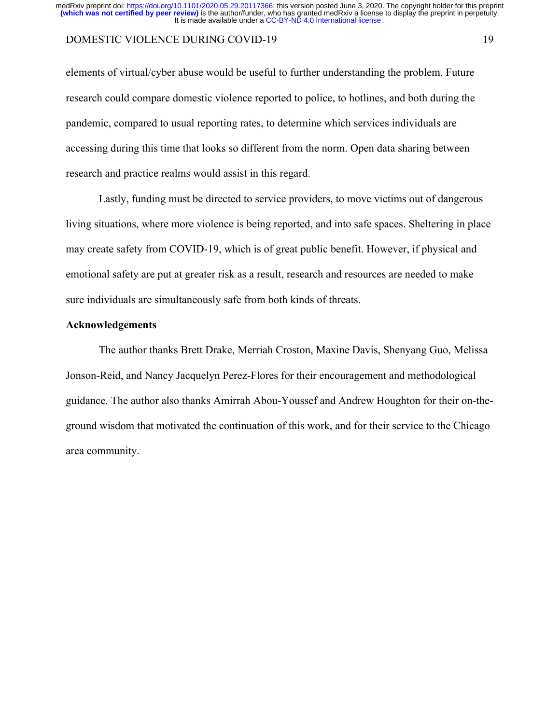## DOMESTIC VIOLENCE DURING COVID-19 19

elements of virtual/cyber abuse would be useful to further understanding the problem. Future research could compare domestic violence reported to police, to hotlines, and both during the pandemic, compared to usual reporting rates, to determine which services individuals are accessing during this time that looks so different from the norm. Open data sharing between research and practice realms would assist in this regard.

Lastly, funding must be directed to service providers, to move victims out of dangerous living situations, where more violence is being reported, and into safe spaces. Sheltering in place may create safety from COVID-19, which is of great public benefit. However, if physical and emotional safety are put at greater risk as a result, research and resources are needed to make sure individuals are simultaneously safe from both kinds of threats.

## **Acknowledgements**

The author thanks Brett Drake, Merriah Croston, Maxine Davis, Shenyang Guo, Melissa Jonson-Reid, and Nancy Jacquelyn Perez-Flores for their encouragement and methodological guidance. The author also thanks Amirrah Abou-Youssef and Andrew Houghton for their on-theground wisdom that motivated the continuation of this work, and for their service to the Chicago area community.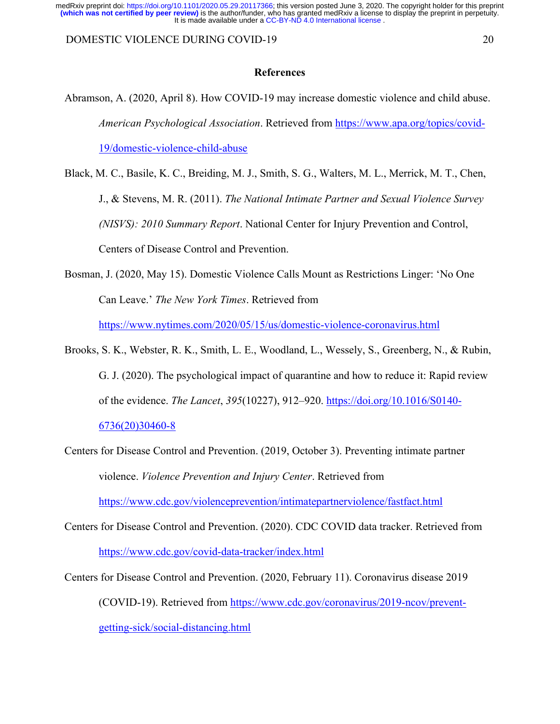DOMESTIC VIOLENCE DURING COVID-19 20

## **References**

Abramson, A. (2020, April 8). How COVID-19 may increase domestic violence and child abuse. *American Psychological Association*. Retrieved from https://www.apa.org/topics/covid-19/domestic-violence-child-abuse

Black, M. C., Basile, K. C., Breiding, M. J., Smith, S. G., Walters, M. L., Merrick, M. T., Chen, J., & Stevens, M. R. (2011). *The National Intimate Partner and Sexual Violence Survey (NISVS): 2010 Summary Report*. National Center for Injury Prevention and Control, Centers of Disease Control and Prevention.

Bosman, J. (2020, May 15). Domestic Violence Calls Mount as Restrictions Linger: 'No One Can Leave.' *The New York Times*. Retrieved from

https://www.nytimes.com/2020/05/15/us/domestic-violence-coronavirus.html

Brooks, S. K., Webster, R. K., Smith, L. E., Woodland, L., Wessely, S., Greenberg, N., & Rubin, G. J. (2020). The psychological impact of quarantine and how to reduce it: Rapid review of the evidence. *The Lancet*, *395*(10227), 912–920. https://doi.org/10.1016/S0140- 6736(20)30460-8

Centers for Disease Control and Prevention. (2019, October 3). Preventing intimate partner violence. *Violence Prevention and Injury Center*. Retrieved from

https://www.cdc.gov/violenceprevention/intimatepartnerviolence/fastfact.html

Centers for Disease Control and Prevention. (2020). CDC COVID data tracker. Retrieved from https://www.cdc.gov/covid-data-tracker/index.html

Centers for Disease Control and Prevention. (2020, February 11). Coronavirus disease 2019 (COVID-19). Retrieved from https://www.cdc.gov/coronavirus/2019-ncov/preventgetting-sick/social-distancing.html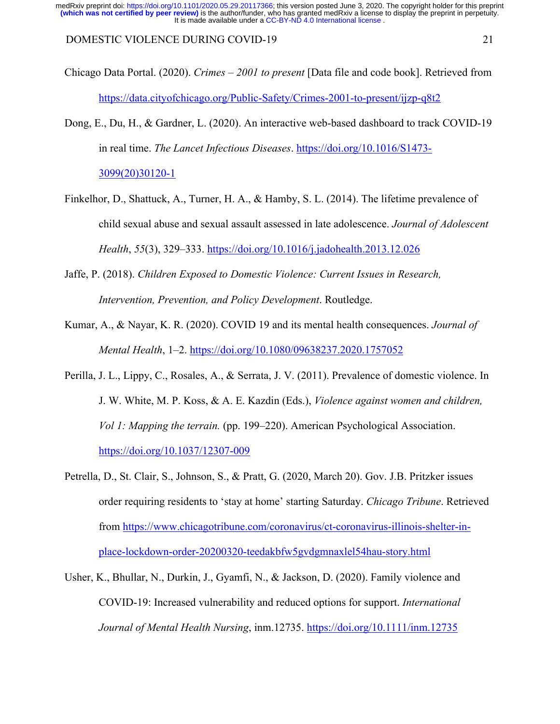DOMESTIC VIOLENCE DURING COVID-19 21

- Chicago Data Portal. (2020). *Crimes – 2001 to present* [Data file and code book]. Retrieved from https://data.cityofchicago.org/Public-Safety/Crimes-2001-to-present/ijzp-q8t2
- Dong, E., Du, H., & Gardner, L. (2020). An interactive web-based dashboard to track COVID-19 in real time. *The Lancet Infectious Diseases*. https://doi.org/10.1016/S1473-

3099(20)30120-1

- Finkelhor, D., Shattuck, A., Turner, H. A., & Hamby, S. L. (2014). The lifetime prevalence of child sexual abuse and sexual assault assessed in late adolescence. *Journal of Adolescent Health*, *55*(3), 329–333. https://doi.org/10.1016/j.jadohealth.2013.12.026
- Jaffe, P. (2018). *Children Exposed to Domestic Violence: Current Issues in Research, Intervention, Prevention, and Policy Development*. Routledge.
- Kumar, A., & Nayar, K. R. (2020). COVID 19 and its mental health consequences. *Journal of Mental Health*, 1–2. https://doi.org/10.1080/09638237.2020.1757052
- Perilla, J. L., Lippy, C., Rosales, A., & Serrata, J. V. (2011). Prevalence of domestic violence. In J. W. White, M. P. Koss, & A. E. Kazdin (Eds.), *Violence against women and children, Vol 1: Mapping the terrain.* (pp. 199–220). American Psychological Association. https://doi.org/10.1037/12307-009
- Petrella, D., St. Clair, S., Johnson, S., & Pratt, G. (2020, March 20). Gov. J.B. Pritzker issues order requiring residents to 'stay at home' starting Saturday. *Chicago Tribune*. Retrieved from https://www.chicagotribune.com/coronavirus/ct-coronavirus-illinois-shelter-inplace-lockdown-order-20200320-teedakbfw5gvdgmnaxlel54hau-story.html
- Usher, K., Bhullar, N., Durkin, J., Gyamfi, N., & Jackson, D. (2020). Family violence and COVID‐19: Increased vulnerability and reduced options for support. *International Journal of Mental Health Nursing*, inm.12735. https://doi.org/10.1111/inm.12735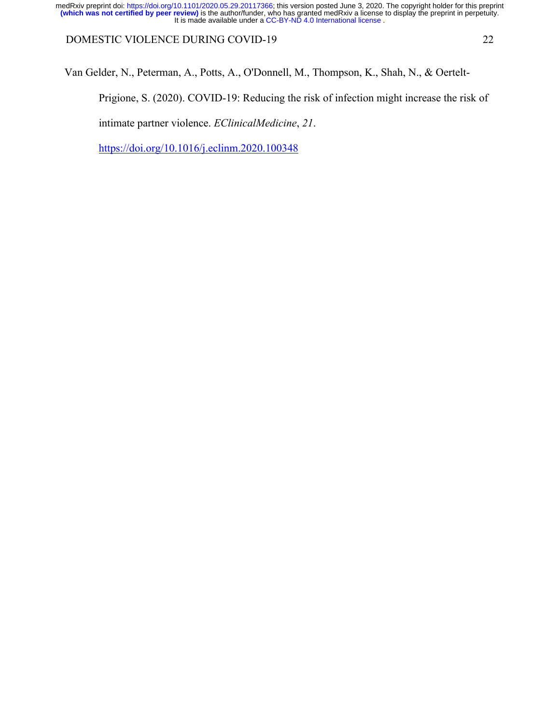DOMESTIC VIOLENCE DURING COVID-19 22

Van Gelder, N., Peterman, A., Potts, A., O'Donnell, M., Thompson, K., Shah, N., & Oertelt-

Prigione, S. (2020). COVID-19: Reducing the risk of infection might increase the risk of

intimate partner violence. *EClinicalMedicine*, *21*.

https://doi.org/10.1016/j.eclinm.2020.100348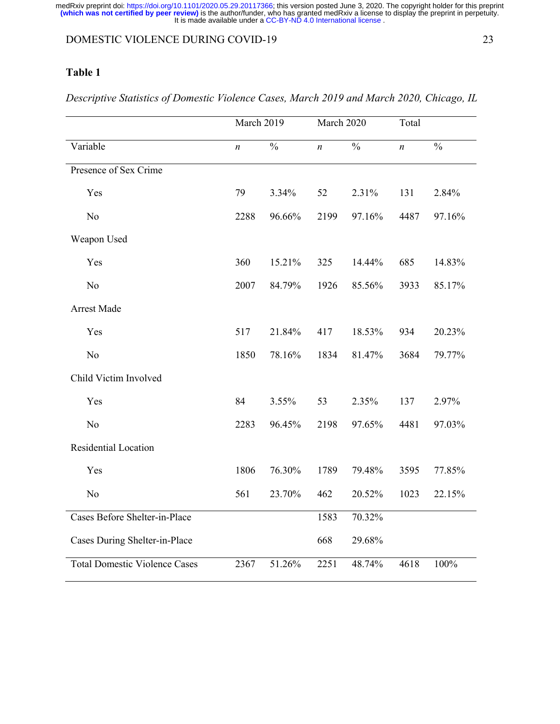## DOMESTIC VIOLENCE DURING COVID-19 23

## **Table 1**

March 2019 March 2020 Total Variable *n* % *n* % *n* % Presence of Sex Crime Yes 79 3.34% 52 2.31% 131 2.84% No 2288 96.66% 2199 97.16% 4487 97.16% Weapon Used Yes 360 15.21% 325 14.44% 685 14.83% No 2007 84.79% 1926 85.56% 3933 85.17% Arrest Made Yes 517 21.84% 417 18.53% 934 20.23% No 1850 78.16% 1834 81.47% 3684 79.77% Child Victim Involved Yes 84 3.55% 53 2.35% 137 2.97% No 2283 96.45% 2198 97.65% 4481 97.03% Residential Location Yes 1806 76.30% 1789 79.48% 3595 77.85% No 561 23.70% 462 20.52% 1023 22.15% Cases Before Shelter-in-Place 1583 70.32% Cases During Shelter-in-Place 668 29.68% Total Domestic Violence Cases 2367 51.26% 2251 48.74% 4618 100%

*Descriptive Statistics of Domestic Violence Cases, March 2019 and March 2020, Chicago, IL*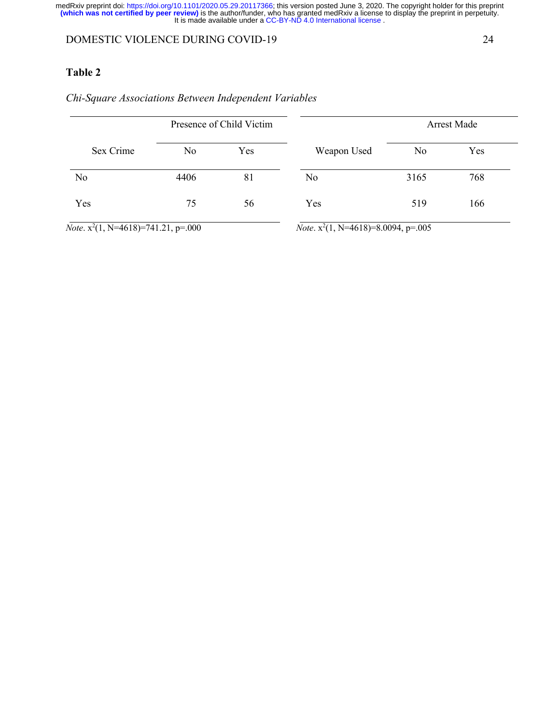## DOMESTIC VIOLENCE DURING COVID-19 24

## **Table 2**

# Presence of Child Victim Sex Crime No Yes No 4406 81 Yes 75 56 Arrest Made Weapon Used No Yes No 3165 768 Yes 519 166

*Chi-Square Associations Between Independent Variables*

*Note*.  $x^2(1, N=4618)=741.21, p=.000$ 

*Note*.  $x^2(1, N=4618)=8.0094, p=.005$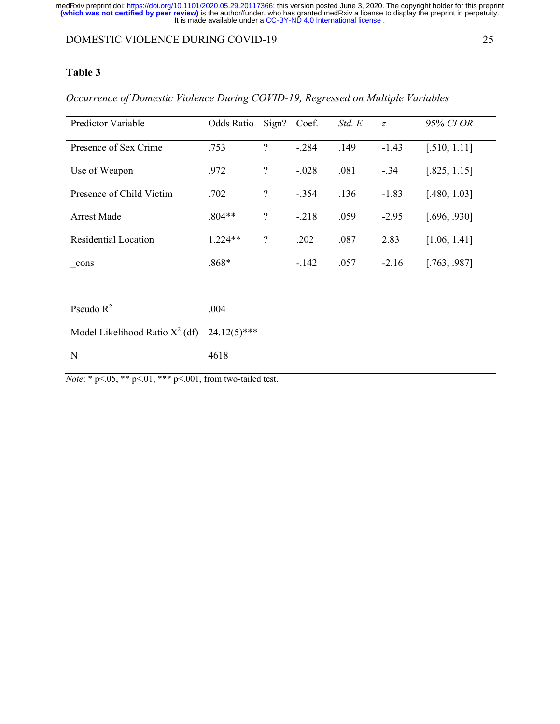## DOMESTIC VIOLENCE DURING COVID-19 25

## **Table 3**

| Predictor Variable                | Odds Ratio     | Sign?            | Coef.   | Std. E | $\overline{z}$ | 95% CI OR    |
|-----------------------------------|----------------|------------------|---------|--------|----------------|--------------|
| Presence of Sex Crime             | .753           | $\overline{?}$   | $-.284$ | .149   | $-1.43$        | [.510, 1.11] |
| Use of Weapon                     | .972           | $\boldsymbol{?}$ | $-.028$ | .081   | $-.34$         | [.825, 1.15] |
| Presence of Child Victim          | .702           | $\boldsymbol{?}$ | $-.354$ | .136   | $-1.83$        | [.480, 1.03] |
| Arrest Made                       | $.804**$       | $\boldsymbol{?}$ | $-.218$ | .059   | $-2.95$        | [.696, .930] |
| <b>Residential Location</b>       | $1.224**$      | $\boldsymbol{?}$ | .202    | .087   | 2.83           | [1.06, 1.41] |
| cons                              | $.868*$        |                  | $-142$  | .057   | $-2.16$        | [.763, .987] |
|                                   |                |                  |         |        |                |              |
| Pseudo $R^2$                      | .004           |                  |         |        |                |              |
| Model Likelihood Ratio $X^2$ (df) | $24.12(5)$ *** |                  |         |        |                |              |
| $\mathbf N$                       | 4618           |                  |         |        |                |              |

*Occurrence of Domestic Violence During COVID-19, Regressed on Multiple Variables*

*Note*: \* p<.05, \*\* p<.01, \*\*\* p<.001, from two-tailed test.